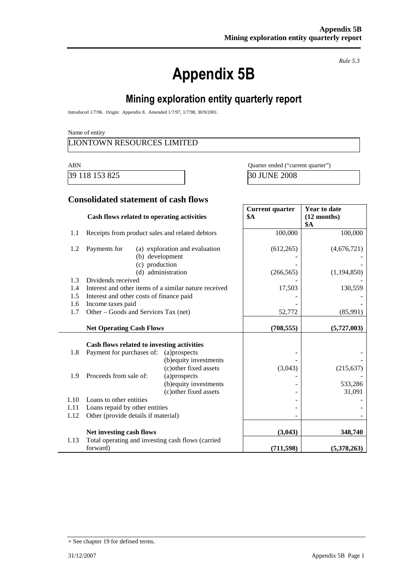# **Appendix 5B**

*Rule 5.3*

# **Mining exploration entity quarterly report**

Introduced 1/7/96. Origin: Appendix 8. Amended 1/7/97, 1/7/98, 30/9/2001.

Name of entity

#### LIONTOWN RESOURCES LIMITED

39 118 153 825 30 JUNE 2008

ABN Quarter ended ("current quarter")

#### **Consolidated statement of cash flows**

|            | Cash flows related to operating activities                    |                                                  | <b>Current quarter</b><br>\$A | <b>Year to date</b><br>$(12$ months) |
|------------|---------------------------------------------------------------|--------------------------------------------------|-------------------------------|--------------------------------------|
|            |                                                               |                                                  |                               | <b>\$A</b>                           |
| 1.1        | Receipts from product sales and related debtors               |                                                  | 100,000                       | 100,000                              |
| 1.2        | Payments for                                                  | (a) exploration and evaluation                   | (612, 265)                    | (4,676,721)                          |
|            | (b) development                                               |                                                  |                               |                                      |
|            | (c) production                                                |                                                  |                               |                                      |
|            |                                                               | (d) administration                               | (266, 565)                    | (1,194,850)                          |
| 1.3        | Dividends received                                            |                                                  |                               |                                      |
| 1.4        | Interest and other items of a similar nature received         |                                                  | 17,503                        | 130,559                              |
| 1.5<br>1.6 | Interest and other costs of finance paid<br>Income taxes paid |                                                  |                               |                                      |
| 1.7        | Other – Goods and Services Tax (net)                          |                                                  | 52,772                        | (85,991)                             |
|            |                                                               |                                                  |                               |                                      |
|            | <b>Net Operating Cash Flows</b>                               |                                                  | (708, 555)                    | (5,727,003)                          |
|            |                                                               |                                                  |                               |                                      |
|            | Cash flows related to investing activities                    |                                                  |                               |                                      |
| 1.8        | Payment for purchases of:                                     | (a)prospects                                     |                               |                                      |
|            |                                                               | (b) equity investments<br>(c) other fixed assets | (3,043)                       | (215, 637)                           |
| 1.9        | Proceeds from sale of:                                        | (a)prospects                                     |                               |                                      |
|            |                                                               | (b) equity investments                           |                               | 533,286                              |
|            |                                                               | (c) other fixed assets                           |                               | 31,091                               |
| 1.10       | Loans to other entities                                       |                                                  |                               |                                      |
| 1.11       | Loans repaid by other entities                                |                                                  |                               |                                      |
| 1.12       | Other (provide details if material)                           |                                                  |                               |                                      |
|            | Net investing cash flows                                      |                                                  | (3,043)                       | 348,740                              |
| 1.13       | Total operating and investing cash flows (carried             |                                                  |                               |                                      |
|            | forward)                                                      |                                                  | (711, 598)                    | (5,378,263)                          |

<sup>+</sup> See chapter 19 for defined terms.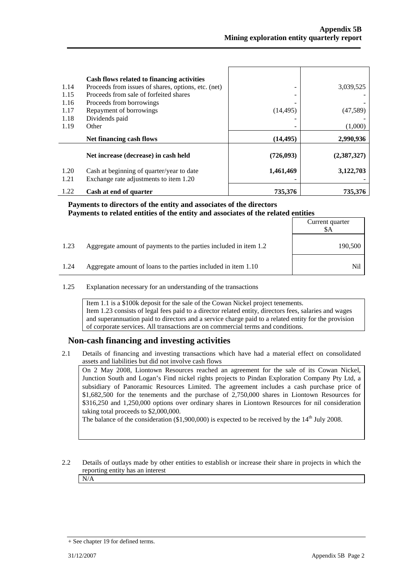$C$ urrent quarter

 $\overline{\phantom{a}}$ 

| 1.14<br>1.15<br>1.16<br>1.17 | Cash flows related to financing activities<br>Proceeds from issues of shares, options, etc. (net)<br>Proceeds from sale of forfeited shares<br>Proceeds from borrowings<br>Repayment of borrowings | (14, 495) | 3,039,525<br>(47, 589) |
|------------------------------|----------------------------------------------------------------------------------------------------------------------------------------------------------------------------------------------------|-----------|------------------------|
| 1.18                         | Dividends paid                                                                                                                                                                                     |           |                        |
| 1.19                         | Other                                                                                                                                                                                              |           | (1,000)                |
|                              | Net financing cash flows                                                                                                                                                                           | (14, 495) | 2,990,936              |
|                              | Net increase (decrease) in cash held                                                                                                                                                               | (726,093) | (2,387,327)            |
|                              |                                                                                                                                                                                                    |           |                        |
| 1.20<br>1.21                 | Cash at beginning of quarter/year to date<br>Exchange rate adjustments to item 1.20                                                                                                                | 1,461,469 | 3,122,703              |

## **Payments to directors of the entity and associates of the directors Payments to related entities of the entity and associates of the related entities**

|      |                                                                  | Carrent guarter<br>SА |
|------|------------------------------------------------------------------|-----------------------|
| 1.23 | Aggregate amount of payments to the parties included in item 1.2 | 190,500               |
| 1.24 | Aggregate amount of loans to the parties included in item 1.10   | Nil                   |

1.25 Explanation necessary for an understanding of the transactions

Item 1.1 is a \$100k deposit for the sale of the Cowan Nickel project tenements. Item 1.23 consists of legal fees paid to a director related entity, directors fees, salaries and wages and superannuation paid to directors and a service charge paid to a related entity for the provision of corporate services. All transactions are on commercial terms and conditions.

#### **Non-cash financing and investing activities**

2.1 Details of financing and investing transactions which have had a material effect on consolidated assets and liabilities but did not involve cash flows

On 2 May 2008, Liontown Resources reached an agreement for the sale of its Cowan Nickel, Junction South and Logan's Find nickel rights projects to Pindan Exploration Company Pty Ltd, a subsidiary of Panoramic Resources Limited. The agreement includes a cash purchase price of \$1,682,500 for the tenements and the purchase of 2,750,000 shares in Liontown Resources for \$316,250 and 1,250,000 options over ordinary shares in Liontown Resources for nil consideration taking total proceeds to \$2,000,000.

The balance of the consideration  $(\$1,900,000)$  is expected to be received by the 14<sup>th</sup> July 2008.

2.2 Details of outlays made by other entities to establish or increase their share in projects in which the reporting entity has an interest N/A

<sup>+</sup> See chapter 19 for defined terms.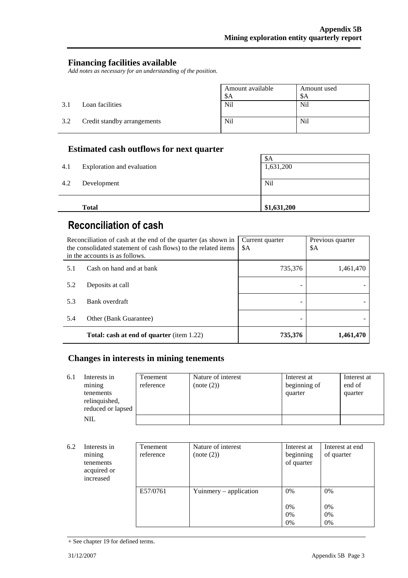#### **Financing facilities available**

*Add notes as necessary for an understanding of the position.*

|     |                             | Amount available<br>\$A | Amount used<br>\$A |
|-----|-----------------------------|-------------------------|--------------------|
| 3.1 | Loan facilities             | N <sub>i</sub>          | N <sub>il</sub>    |
| 3.2 | Credit standby arrangements | N <sub>i</sub>          | N <sub>il</sub>    |

#### **Estimated cash outflows for next quarter**

|     | <b>Total</b>               | \$1,631,200 |
|-----|----------------------------|-------------|
| 4.2 | Development                | Nil         |
| 4.1 | Exploration and evaluation | 1,631,200   |
|     |                            | \$A         |

# **Reconciliation of cash**

|     | Reconciliation of cash at the end of the quarter (as shown in<br>the consolidated statement of cash flows) to the related items<br>in the accounts is as follows. | Current quarter<br>\$A | Previous quarter<br>\$A |
|-----|-------------------------------------------------------------------------------------------------------------------------------------------------------------------|------------------------|-------------------------|
| 5.1 | Cash on hand and at bank                                                                                                                                          | 735,376                | 1,461,470               |
| 5.2 | Deposits at call                                                                                                                                                  |                        |                         |
| 5.3 | Bank overdraft                                                                                                                                                    |                        |                         |
| 5.4 | Other (Bank Guarantee)                                                                                                                                            |                        |                         |
|     | <b>Total: cash at end of quarter</b> (item 1.22)                                                                                                                  | 735,376                | 1,461,470               |

## **Changes in interests in mining tenements**

| 6.1 | Interests in<br>mining<br>tenements<br>relinquished,<br>reduced or lapsed | Tenement<br>reference | Nature of interest<br>(note (2)) | Interest at<br>beginning of<br>quarter | Interest at<br>end of<br>quarter |
|-----|---------------------------------------------------------------------------|-----------------------|----------------------------------|----------------------------------------|----------------------------------|
|     | NIL                                                                       |                       |                                  |                                        |                                  |

| 6.2 | Interests in<br>mining<br>tenements<br>acquired or<br>increased | Tenement<br>reference | Nature of interest<br>(note (2)) | Interest at<br>beginning<br>of quarter | Interest at end<br>of quarter |
|-----|-----------------------------------------------------------------|-----------------------|----------------------------------|----------------------------------------|-------------------------------|
|     |                                                                 | E57/0761              | Yuinmery $-$ application         | $0\%$<br>0%<br>0%<br>0%                | $0\%$<br>0%<br>$0\%$<br>$0\%$ |

<sup>+</sup> See chapter 19 for defined terms.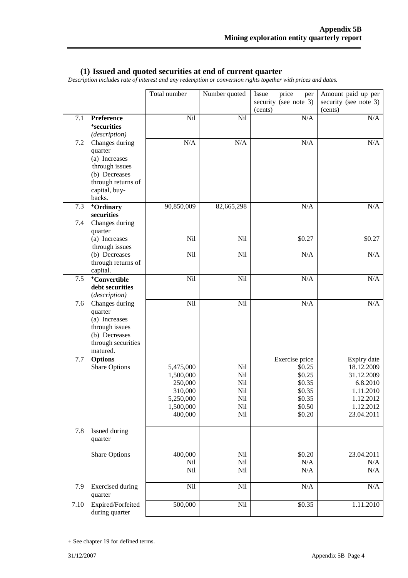#### **(1) Issued and quoted securities at end of current quarter**

*Description includes rate of interest and any redemption or conversion rights together with prices and dates.*

|            |                                                                                                                                | Total number                                                                      | Number quoted                                 | Issue<br>price<br>per<br>security (see note 3)<br>(cents)                            | Amount paid up per<br>security (see note 3)<br>(cents)                                                   |
|------------|--------------------------------------------------------------------------------------------------------------------------------|-----------------------------------------------------------------------------------|-----------------------------------------------|--------------------------------------------------------------------------------------|----------------------------------------------------------------------------------------------------------|
| 7.1        | Preference<br><sup>+</sup> securities<br>(description)                                                                         | Nil                                                                               | Nil                                           | N/A                                                                                  | N/A                                                                                                      |
| 7.2        | Changes during<br>quarter<br>(a) Increases<br>through issues<br>(b) Decreases<br>through returns of<br>capital, buy-<br>backs. | $\rm N/A$                                                                         | N/A                                           | $\rm N/A$                                                                            | N/A                                                                                                      |
| 7.3<br>7.4 | <sup>+</sup> Ordinary<br>securities<br>Changes during                                                                          | 90,850,009                                                                        | 82,665,298                                    | N/A                                                                                  | N/A                                                                                                      |
|            | quarter<br>(a) Increases<br>through issues                                                                                     | Nil                                                                               | Nil                                           | \$0.27                                                                               | \$0.27                                                                                                   |
|            | (b) Decreases<br>through returns of<br>capital.                                                                                | Nil                                                                               | N <sub>il</sub>                               | N/A                                                                                  | N/A                                                                                                      |
| 7.5        | <sup>+</sup> Convertible<br>debt securities<br>(description)                                                                   | Nil                                                                               | Nil                                           | $\rm N/A$                                                                            | N/A                                                                                                      |
| 7.6        | Changes during<br>quarter<br>(a) Increases<br>through issues<br>(b) Decreases<br>through securities<br>matured.                | Nil                                                                               | Nil                                           | N/A                                                                                  | $\rm N/A$                                                                                                |
| 7.7        | <b>Options</b><br><b>Share Options</b>                                                                                         | 5,475,000<br>1,500,000<br>250,000<br>310,000<br>5,250,000<br>1,500,000<br>400,000 | Nil<br>Nil<br>Nil<br>Nil<br>Nil<br>Nil<br>Nil | Exercise price<br>\$0.25<br>\$0.25<br>\$0.35<br>\$0.35<br>\$0.35<br>\$0.50<br>\$0.20 | Expiry date<br>18.12.2009<br>31.12.2009<br>6.8.2010<br>1.11.2010<br>1.12.2012<br>1.12.2012<br>23.04.2011 |
| 7.8        | Issued during<br>quarter                                                                                                       |                                                                                   |                                               |                                                                                      |                                                                                                          |
|            | <b>Share Options</b>                                                                                                           | 400,000<br>Nil<br>Nil                                                             | Nil<br>Nil<br>Nil                             | \$0.20<br>N/A<br>N/A                                                                 | 23.04.2011<br>N/A<br>N/A                                                                                 |
| 7.9        | <b>Exercised</b> during<br>quarter                                                                                             | Nil                                                                               | Nil                                           | $\rm N/A$                                                                            | $\rm N/A$                                                                                                |
| 7.10       | Expired/Forfeited<br>during quarter                                                                                            | 500,000                                                                           | Nil                                           | \$0.35                                                                               | 1.11.2010                                                                                                |

<sup>+</sup> See chapter 19 for defined terms.